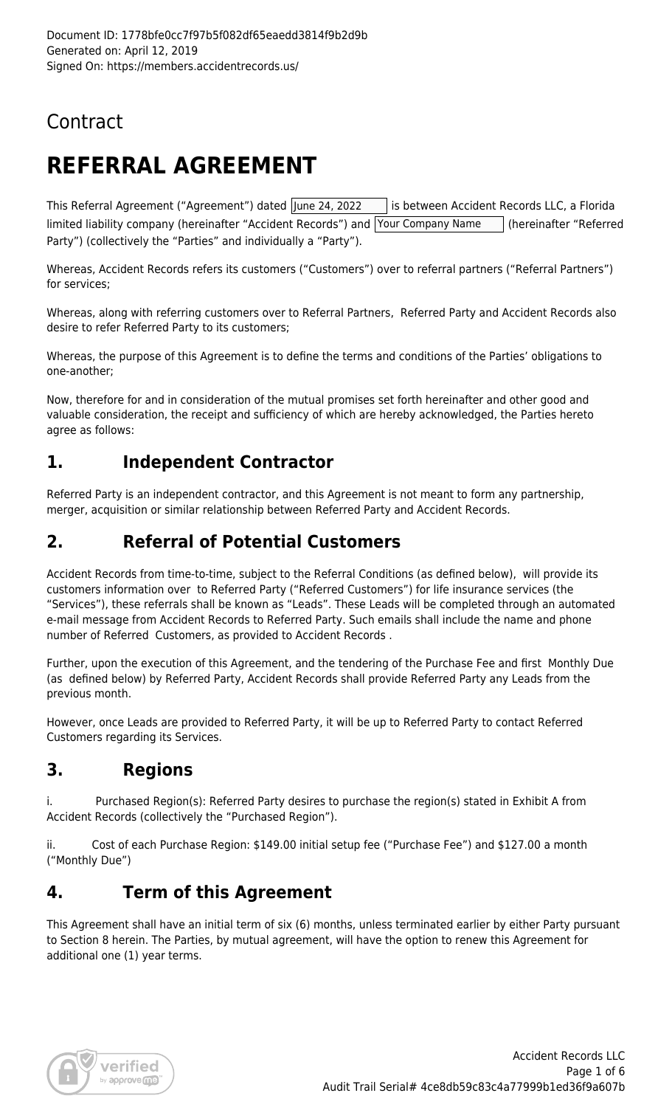## Contract

# **REFERRAL AGREEMENT**

This Referral Agreement ("Agreement") dated June 24, 2022 | is between Accident Records LLC, a Florida limited liability company (hereinafter "Accident Records") and Your Company Name | (hereinafter "Referred Party") (collectively the "Parties" and individually a "Party").

Whereas, Accident Records refers its customers ("Customers") over to referral partners ("Referral Partners") for services;

Whereas, along with referring customers over to Referral Partners, Referred Party and Accident Records also desire to refer Referred Party to its customers;

Whereas, the purpose of this Agreement is to define the terms and conditions of the Parties' obligations to one-another;

Now, therefore for and in consideration of the mutual promises set forth hereinafter and other good and valuable consideration, the receipt and sufficiency of which are hereby acknowledged, the Parties hereto agree as follows:

#### **1. Independent Contractor**

Referred Party is an independent contractor, and this Agreement is not meant to form any partnership, merger, acquisition or similar relationship between Referred Party and Accident Records.

#### **2. Referral of Potential Customers**

Accident Records from time-to-time, subject to the Referral Conditions (as defined below), will provide its customers information over to Referred Party ("Referred Customers") for life insurance services (the "Services"), these referrals shall be known as "Leads". These Leads will be completed through an automated e-mail message from Accident Records to Referred Party. Such emails shall include the name and phone number of Referred Customers, as provided to Accident Records .

Further, upon the execution of this Agreement, and the tendering of the Purchase Fee and first Monthly Due (as defined below) by Referred Party, Accident Records shall provide Referred Party any Leads from the previous month.

However, once Leads are provided to Referred Party, it will be up to Referred Party to contact Referred Customers regarding its Services.

#### **3. Regions**

i. Purchased Region(s): Referred Party desires to purchase the region(s) stated in Exhibit A from Accident Records (collectively the "Purchased Region").

ii. Cost of each Purchase Region: \$149.00 initial setup fee ("Purchase Fee") and \$127.00 a month ("Monthly Due")

#### **4. Term of this Agreement**

This Agreement shall have an initial term of six (6) months, unless terminated earlier by either Party pursuant to Section 8 herein. The Parties, by mutual agreement, will have the option to renew this Agreement for additional one (1) year terms.

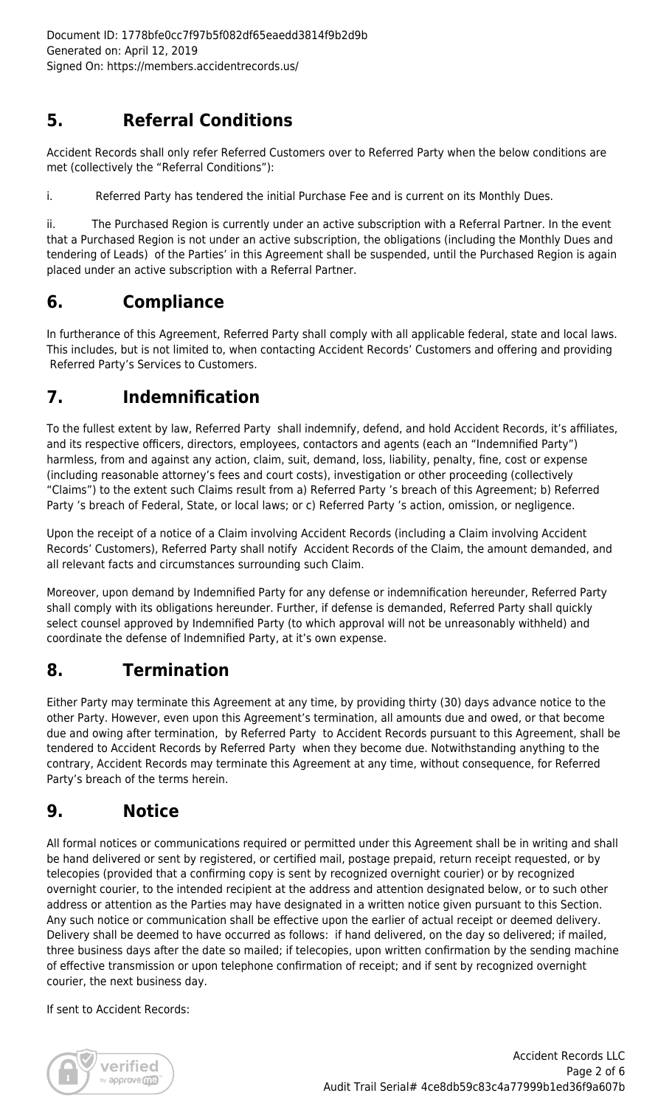#### **5. Referral Conditions**

Accident Records shall only refer Referred Customers over to Referred Party when the below conditions are met (collectively the "Referral Conditions"):

i. Referred Party has tendered the initial Purchase Fee and is current on its Monthly Dues.

ii. The Purchased Region is currently under an active subscription with a Referral Partner. In the event that a Purchased Region is not under an active subscription, the obligations (including the Monthly Dues and tendering of Leads) of the Parties' in this Agreement shall be suspended, until the Purchased Region is again placed under an active subscription with a Referral Partner.

#### **6. Compliance**

In furtherance of this Agreement, Referred Party shall comply with all applicable federal, state and local laws. This includes, but is not limited to, when contacting Accident Records' Customers and offering and providing Referred Party's Services to Customers.

#### **7. Indemnification**

To the fullest extent by law, Referred Party shall indemnify, defend, and hold Accident Records, it's affiliates, and its respective officers, directors, employees, contactors and agents (each an "Indemnified Party") harmless, from and against any action, claim, suit, demand, loss, liability, penalty, fine, cost or expense (including reasonable attorney's fees and court costs), investigation or other proceeding (collectively "Claims") to the extent such Claims result from a) Referred Party 's breach of this Agreement; b) Referred Party 's breach of Federal, State, or local laws; or c) Referred Party 's action, omission, or negligence.

Upon the receipt of a notice of a Claim involving Accident Records (including a Claim involving Accident Records' Customers), Referred Party shall notify Accident Records of the Claim, the amount demanded, and all relevant facts and circumstances surrounding such Claim.

Moreover, upon demand by Indemnified Party for any defense or indemnification hereunder, Referred Party shall comply with its obligations hereunder. Further, if defense is demanded, Referred Party shall quickly select counsel approved by Indemnified Party (to which approval will not be unreasonably withheld) and coordinate the defense of Indemnified Party, at it's own expense.

## **8. Termination**

Either Party may terminate this Agreement at any time, by providing thirty (30) days advance notice to the other Party. However, even upon this Agreement's termination, all amounts due and owed, or that become due and owing after termination, by Referred Party to Accident Records pursuant to this Agreement, shall be tendered to Accident Records by Referred Party when they become due. Notwithstanding anything to the contrary, Accident Records may terminate this Agreement at any time, without consequence, for Referred Party's breach of the terms herein.

#### **9. Notice**

All formal notices or communications required or permitted under this Agreement shall be in writing and shall be hand delivered or sent by registered, or certified mail, postage prepaid, return receipt requested, or by telecopies (provided that a confirming copy is sent by recognized overnight courier) or by recognized overnight courier, to the intended recipient at the address and attention designated below, or to such other address or attention as the Parties may have designated in a written notice given pursuant to this Section. Any such notice or communication shall be effective upon the earlier of actual receipt or deemed delivery. Delivery shall be deemed to have occurred as follows: if hand delivered, on the day so delivered; if mailed, three business days after the date so mailed; if telecopies, upon written confirmation by the sending machine of effective transmission or upon telephone confirmation of receipt; and if sent by recognized overnight courier, the next business day.

If sent to Accident Records:

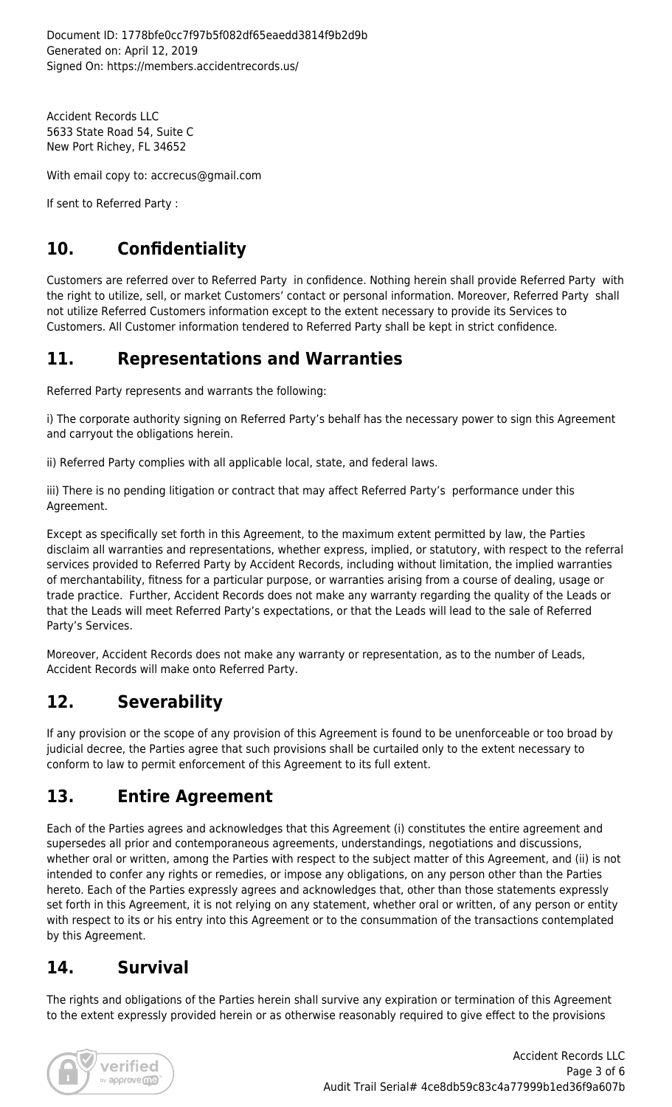Accident Records LLC 5633 State Road 54, Suite C New Port Richey, FL 34652

With email copy to: accrecus@gmail.com

If sent to Referred Party :

## **10. Confidentiality**

Customers are referred over to Referred Party in confidence. Nothing herein shall provide Referred Party with the right to utilize, sell, or market Customers' contact or personal information. Moreover, Referred Party shall not utilize Referred Customers information except to the extent necessary to provide its Services to Customers. All Customer information tendered to Referred Party shall be kept in strict confidence.

#### **11. Representations and Warranties**

Referred Party represents and warrants the following:

i) The corporate authority signing on Referred Party's behalf has the necessary power to sign this Agreement and carryout the obligations herein.

ii) Referred Party complies with all applicable local, state, and federal laws.

iii) There is no pending litigation or contract that may affect Referred Party's performance under this Agreement.

Except as specifically set forth in this Agreement, to the maximum extent permitted by law, the Parties disclaim all warranties and representations, whether express, implied, or statutory, with respect to the referral services provided to Referred Party by Accident Records, including without limitation, the implied warranties of merchantability, fitness for a particular purpose, or warranties arising from a course of dealing, usage or trade practice. Further, Accident Records does not make any warranty regarding the quality of the Leads or that the Leads will meet Referred Party's expectations, or that the Leads will lead to the sale of Referred Party's Services.

Moreover, Accident Records does not make any warranty or representation, as to the number of Leads, Accident Records will make onto Referred Party.

#### **12. Severability**

If any provision or the scope of any provision of this Agreement is found to be unenforceable or too broad by judicial decree, the Parties agree that such provisions shall be curtailed only to the extent necessary to conform to law to permit enforcement of this Agreement to its full extent.

#### **13. Entire Agreement**

Each of the Parties agrees and acknowledges that this Agreement (i) constitutes the entire agreement and supersedes all prior and contemporaneous agreements, understandings, negotiations and discussions, whether oral or written, among the Parties with respect to the subject matter of this Agreement, and (ii) is not intended to confer any rights or remedies, or impose any obligations, on any person other than the Parties hereto. Each of the Parties expressly agrees and acknowledges that, other than those statements expressly set forth in this Agreement, it is not relying on any statement, whether oral or written, of any person or entity with respect to its or his entry into this Agreement or to the consummation of the transactions contemplated by this Agreement.

#### **14. Survival**

The rights and obligations of the Parties herein shall survive any expiration or termination of this Agreement to the extent expressly provided herein or as otherwise reasonably required to give effect to the provisions

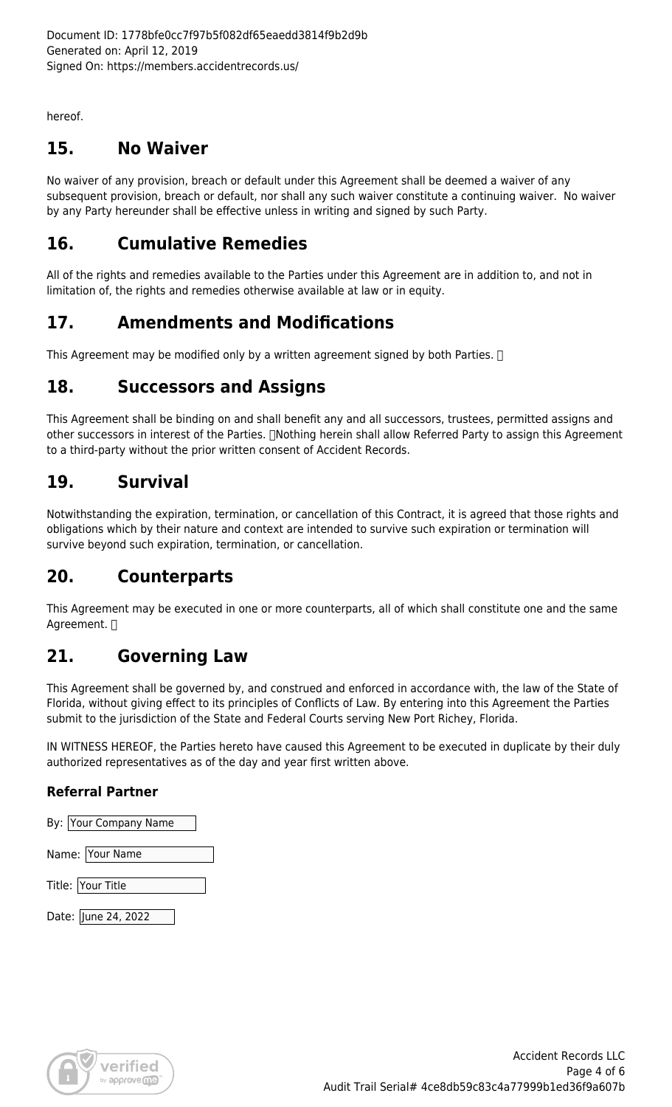hereof.

#### **15. No Waiver**

No waiver of any provision, breach or default under this Agreement shall be deemed a waiver of any subsequent provision, breach or default, nor shall any such waiver constitute a continuing waiver. No waiver by any Party hereunder shall be effective unless in writing and signed by such Party.

#### **16. Cumulative Remedies**

All of the rights and remedies available to the Parties under this Agreement are in addition to, and not in limitation of, the rights and remedies otherwise available at law or in equity.

#### **17. Amendments and Modifications**

This Agreement may be modified only by a written agreement signed by both Parties.  $\Box$ 

#### **18. Successors and Assigns**

This Agreement shall be binding on and shall benefit any and all successors, trustees, permitted assigns and other successors in interest of the Parties. [Nothing herein shall allow Referred Party to assign this Agreement to a third-party without the prior written consent of Accident Records.

#### **19. Survival**

Notwithstanding the expiration, termination, or cancellation of this Contract, it is agreed that those rights and obligations which by their nature and context are intended to survive such expiration or termination will survive beyond such expiration, termination, or cancellation.

#### **20. Counterparts**

This Agreement may be executed in one or more counterparts, all of which shall constitute one and the same Agreement.  $\Box$ 

#### **21. Governing Law**

This Agreement shall be governed by, and construed and enforced in accordance with, the law of the State of Florida, without giving effect to its principles of Conflicts of Law. By entering into this Agreement the Parties submit to the jurisdiction of the State and Federal Courts serving New Port Richey, Florida.

IN WITNESS HEREOF, the Parties hereto have caused this Agreement to be executed in duplicate by their duly authorized representatives as of the day and year first written above.

#### **Referral Partner**

| By: Your Company Name |
|-----------------------|
| Name: Your Name       |
| Title: Your Title     |
| Date: June 24, 2022   |

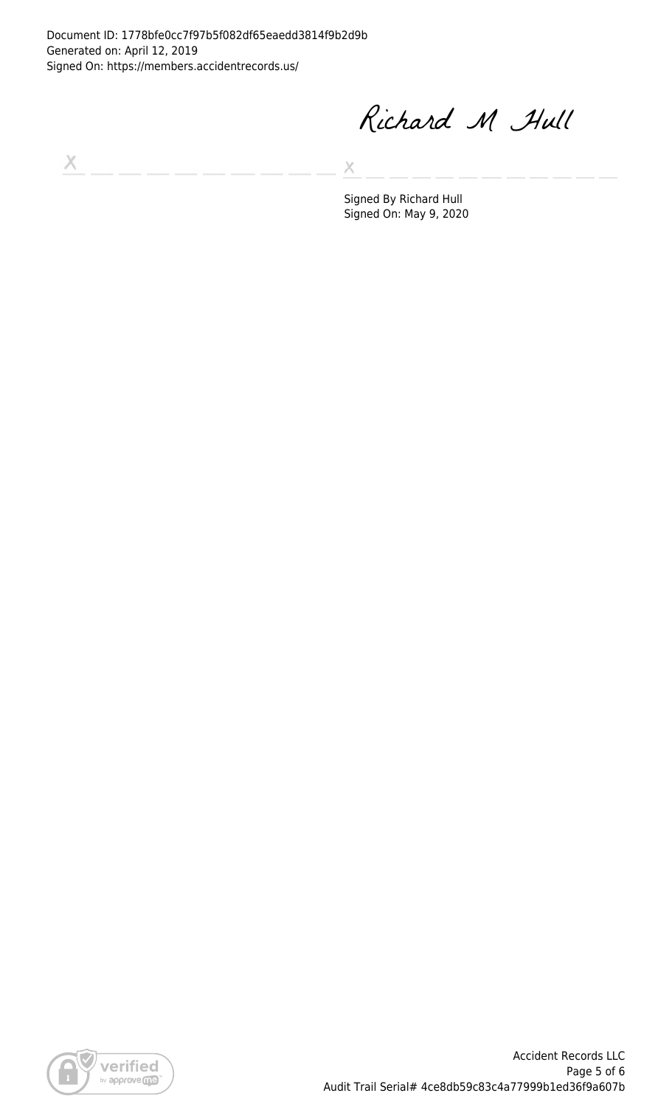Document ID: 1778bfe0cc7f97b5f082df65eaedd3814f9b2d9b Generated on: April 12, 2019 Signed On: https://members.accidentrecords.us/

Richard M Hull

 $\boldsymbol{\times}$ 

 $\chi$ 

Signed By Richard Hull Signed On: May 9, 2020